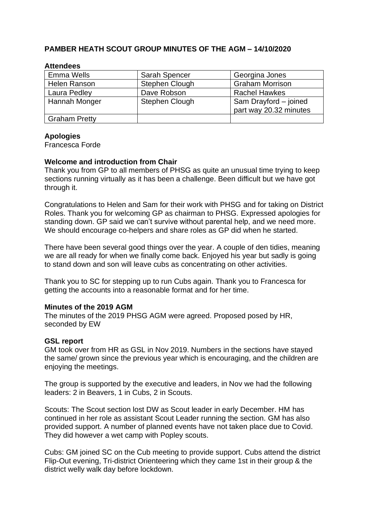## **PAMBER HEATH SCOUT GROUP MINUTES OF THE AGM – 14/10/2020**

| <b>Emma Wells</b>    | <b>Sarah Spencer</b>  | Georgina Jones                                  |
|----------------------|-----------------------|-------------------------------------------------|
| Helen Ranson         | <b>Stephen Clough</b> | <b>Graham Morrison</b>                          |
| Laura Pedley         | Dave Robson           | <b>Rachel Hawkes</b>                            |
| Hannah Monger        | <b>Stephen Clough</b> | Sam Drayford - joined<br>part way 20.32 minutes |
| <b>Graham Pretty</b> |                       |                                                 |

#### **Attendees**

#### **Apologies**

Francesca Forde

### **Welcome and introduction from Chair**

Thank you from GP to all members of PHSG as quite an unusual time trying to keep sections running virtually as it has been a challenge. Been difficult but we have got through it.

Congratulations to Helen and Sam for their work with PHSG and for taking on District Roles. Thank you for welcoming GP as chairman to PHSG. Expressed apologies for standing down. GP said we can't survive without parental help, and we need more. We should encourage co-helpers and share roles as GP did when he started.

There have been several good things over the year. A couple of den tidies, meaning we are all ready for when we finally come back. Enjoyed his year but sadly is going to stand down and son will leave cubs as concentrating on other activities.

Thank you to SC for stepping up to run Cubs again. Thank you to Francesca for getting the accounts into a reasonable format and for her time.

#### **Minutes of the 2019 AGM**

The minutes of the 2019 PHSG AGM were agreed. Proposed posed by HR, seconded by EW

#### **GSL report**

GM took over from HR as GSL in Nov 2019. Numbers in the sections have stayed the same/ grown since the previous year which is encouraging, and the children are enjoying the meetings.

The group is supported by the executive and leaders, in Nov we had the following leaders: 2 in Beavers, 1 in Cubs, 2 in Scouts.

Scouts: The Scout section lost DW as Scout leader in early December. HM has continued in her role as assistant Scout Leader running the section. GM has also provided support. A number of planned events have not taken place due to Covid. They did however a wet camp with Popley scouts.

Cubs: GM joined SC on the Cub meeting to provide support. Cubs attend the district Flip-Out evening, Tri-district Orienteering which they came 1st in their group & the district welly walk day before lockdown.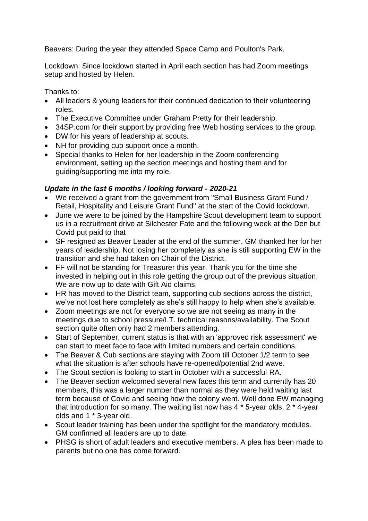Beavers: During the year they attended Space Camp and Poulton's Park.

Lockdown: Since lockdown started in April each section has had Zoom meetings setup and hosted by Helen.

Thanks to:

- All leaders & young leaders for their continued dedication to their volunteering roles.
- The Executive Committee under Graham Pretty for their leadership.
- 34SP.com for their support by providing free Web hosting services to the group.
- DW for his years of leadership at scouts.
- NH for providing cub support once a month.
- Special thanks to Helen for her leadership in the Zoom conferencing environment, setting up the section meetings and hosting them and for guiding/supporting me into my role.

# *Update in the last 6 months / looking forward - 2020-21*

- We received a grant from the government from "Small Business Grant Fund / Retail, Hospitality and Leisure Grant Fund" at the start of the Covid lockdown.
- June we were to be joined by the Hampshire Scout development team to support us in a recruitment drive at Silchester Fate and the following week at the Den but Covid put paid to that
- SF resigned as Beaver Leader at the end of the summer. GM thanked her for her years of leadership. Not losing her completely as she is still supporting EW in the transition and she had taken on Chair of the District.
- FF will not be standing for Treasurer this year. Thank you for the time she invested in helping out in this role getting the group out of the previous situation. We are now up to date with Gift Aid claims.
- HR has moved to the District team, supporting cub sections across the district, we've not lost here completely as she's still happy to help when she's available.
- Zoom meetings are not for everyone so we are not seeing as many in the meetings due to school pressure/I.T. technical reasons/availability. The Scout section quite often only had 2 members attending.
- Start of September, current status is that with an 'approved risk assessment' we can start to meet face to face with limited numbers and certain conditions.
- The Beaver & Cub sections are staying with Zoom till October 1/2 term to see what the situation is after schools have re-opened/potential 2nd wave.
- The Scout section is looking to start in October with a successful RA.
- The Beaver section welcomed several new faces this term and currently has 20 members, this was a larger number than normal as they were held waiting last term because of Covid and seeing how the colony went. Well done EW managing that introduction for so many. The waiting list now has 4 \* 5-year olds, 2 \* 4-year olds and 1 \* 3-year old.
- Scout leader training has been under the spotlight for the mandatory modules. GM confirmed all leaders are up to date.
- PHSG is short of adult leaders and executive members. A plea has been made to parents but no one has come forward.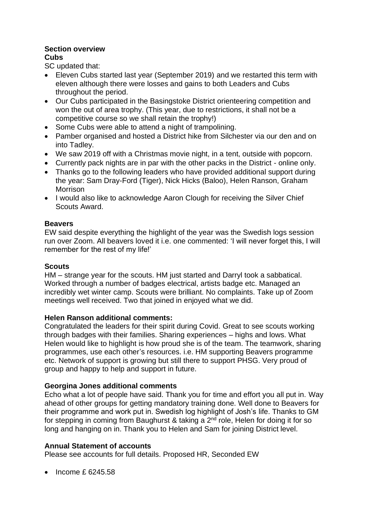# **Section overview**

# **Cubs**

SC updated that:

- Eleven Cubs started last year (September 2019) and we restarted this term with eleven although there were losses and gains to both Leaders and Cubs throughout the period.
- Our Cubs participated in the Basingstoke District orienteering competition and won the out of area trophy. (This year, due to restrictions, it shall not be a competitive course so we shall retain the trophy!)
- Some Cubs were able to attend a night of trampolining.
- Pamber organised and hosted a District hike from Silchester via our den and on into Tadley.
- We saw 2019 off with a Christmas movie night, in a tent, outside with popcorn.
- Currently pack nights are in par with the other packs in the District online only.
- Thanks go to the following leaders who have provided additional support during the year: Sam Dray-Ford (Tiger), Nick Hicks (Baloo), Helen Ranson, Graham Morrison
- I would also like to acknowledge Aaron Clough for receiving the Silver Chief Scouts Award.

# **Beavers**

EW said despite everything the highlight of the year was the Swedish logs session run over Zoom. All beavers loved it i.e. one commented: 'I will never forget this, I will remember for the rest of my life!'

# **Scouts**

HM – strange year for the scouts. HM just started and Darryl took a sabbatical. Worked through a number of badges electrical, artists badge etc. Managed an incredibly wet winter camp. Scouts were brilliant. No complaints. Take up of Zoom meetings well received. Two that joined in enjoyed what we did.

## **Helen Ranson additional comments:**

Congratulated the leaders for their spirit during Covid. Great to see scouts working through badges with their families. Sharing experiences – highs and lows. What Helen would like to highlight is how proud she is of the team. The teamwork, sharing programmes, use each other's resources. i.e. HM supporting Beavers programme etc. Network of support is growing but still there to support PHSG. Very proud of group and happy to help and support in future.

# **Georgina Jones additional comments**

Echo what a lot of people have said. Thank you for time and effort you all put in. Way ahead of other groups for getting mandatory training done. Well done to Beavers for their programme and work put in. Swedish log highlight of Josh's life. Thanks to GM for stepping in coming from Baughurst & taking a 2<sup>nd</sup> role, Helen for doing it for so long and hanging on in. Thank you to Helen and Sam for joining District level.

## **Annual Statement of accounts**

Please see accounts for full details. Proposed HR, Seconded EW

• Income £ 6245.58